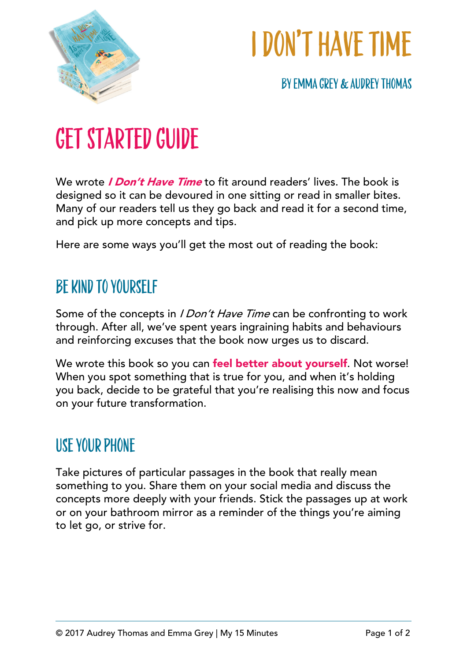

# I don't have time

By EMMA GREY & Audrey Thomas

### Get Started Guide

We wrote *I Don't Have Time* to fit around readers' lives. The book is designed so it can be devoured in one sitting or read in smaller bites. Many of our readers tell us they go back and read it for a second time, and pick up more concepts and tips.

Here are some ways you'll get the most out of reading the book:

### BE KIND TO YOURSELF

Some of the concepts in *I Don't Have Time* can be confronting to work through. After all, we've spent years ingraining habits and behaviours and reinforcing excuses that the book now urges us to discard.

We wrote this book so you can feel better about yourself. Not worse! When you spot something that is true for you, and when it's holding you back, decide to be grateful that you're realising this now and focus on your future transformation.

#### USE YOUR PHONE

Take pictures of particular passages in the book that really mean something to you. Share them on your social media and discuss the concepts more deeply with your friends. Stick the passages up at work or on your bathroom mirror as a reminder of the things you're aiming to let go, or strive for.